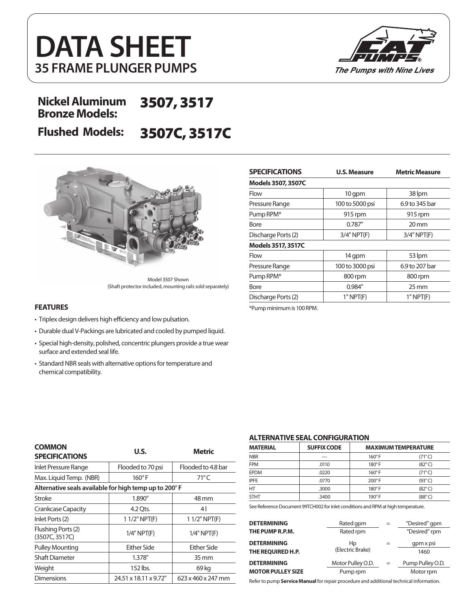



### **Nickel Aluminum Bronze Models:** 3507, 3517

# **Flushed Models:** 3507C, 3517C



Model 3507 Shown (Shaft protector included, mounting rails sold separately)

- Triplex design delivers high efficiency and low pulsation.
- Durable dual V-Packings are lubricated and cooled by pumped liquid.
- Special high-density, polished, concentric plungers provide a true wear surface and extended seal life.
- Standard NBR seals with alternative options for temperature and chemical compatibility.

| <b>SPECIFICATIONS</b>     | <b>U.S. Measure</b> | <b>Metric Measure</b> |  |
|---------------------------|---------------------|-----------------------|--|
| <b>Models 3507, 3507C</b> |                     |                       |  |
| Flow                      | 10 qpm              | 38 lpm                |  |
| Pressure Range            | 100 to 5000 psi     | 6.9 to 345 bar        |  |
| Pump RPM*                 | 915 rpm             | 915 rpm               |  |
| Bore                      | 0.787"              | $20 \,\mathrm{mm}$    |  |
| Discharge Ports (2)       | $3/4"$ NPT $(F)$    | $3/4"$ NPT $(F)$      |  |
| Models 3517, 3517C        |                     |                       |  |
| Flow                      | 14 qpm              | 53 lpm                |  |
| Pressure Range            | 100 to 3000 psi     | 6.9 to 207 bar        |  |
| Pump RPM*                 | 800 rpm             | 800 rpm               |  |
| Bore                      | 0.984"              | $25 \,\mathrm{mm}$    |  |
| Discharge Ports (2)       | $1"$ NPT $(F)$      | $1"$ NPT $(F)$        |  |

**FEATURES** \*Pump minimum is 100 RPM.

| <b>COMMON</b><br><b>SPECIFICATIONS</b>                | U.S.                  | Metric             |  |
|-------------------------------------------------------|-----------------------|--------------------|--|
| Inlet Pressure Range                                  | Flooded to 70 psi     | Flooded to 4.8 bar |  |
| Max. Liquid Temp. (NBR)                               | $160^\circ$ F         | $71^{\circ}$ C     |  |
| Alternative seals available for high temp up to 200°F |                       |                    |  |
| Stroke                                                | 1.890"                | 48 mm              |  |
| Crankcase Capacity                                    | 4.2 Ots.              | 4                  |  |
| Inlet Ports (2)                                       | $11/2$ " NPT(F)       | $11/2"$ NPT(F)     |  |
| Flushing Ports (2)<br>(3507C, 3517C)                  | $1/4"$ NPT $(F)$      | $1/4"$ NPT $(F)$   |  |
| <b>Pulley Mounting</b>                                | Either Side           | Either Side        |  |
| <b>Shaft Diameter</b>                                 | 1.378"                | $35 \, \text{mm}$  |  |
| Weight                                                | 152 lbs.              | 69 kg              |  |
| Dimensions                                            | 24.51 x 18.11 x 9.72" | 623 x 460 x 247 mm |  |

#### **ALTERNATIVE SEAL CONFIGURATION**

| <b>MATERIAL</b> | <b>SUFFIX CODE</b> |               | <b>MAXIMUM TEMPERATURE</b> |
|-----------------|--------------------|---------------|----------------------------|
| <b>NBR</b>      |                    | $160^\circ$ F | $(71^{\circ}C)$            |
| <b>FPM</b>      | .0110              | $180^\circ$ F | $(82^{\circ}C)$            |
| <b>EPDM</b>     | .0220              | $160^\circ$ F | $(71^{\circ}C)$            |
| <b>IPFE</b>     | .0770              | $200^\circ$ F | $(93^\circ C)$             |
| HT              | .3000              | $180^\circ$ F | $(82^{\circ}C)$            |
| <b>STHT</b>     | .3400              | $190^\circ$ F | (88°C)                     |

See Reference Document 99TCH002 for inlet conditions and RPM at high temperature.

| <b>DETERMINING</b>       | Rated gpm         | $=$ | "Desired" gpm    |
|--------------------------|-------------------|-----|------------------|
| THE PUMP R.P.M.          | Rated rpm         |     | "Desired" rpm    |
| <b>DETERMINING</b>       | Hp                |     | gpm x psi        |
| THE REQUIRED H.P.        | (Electric Brake)  |     | 1460             |
| <b>DETERMINING</b>       | Motor Pulley O.D. | $=$ | Pump Pulley O.D. |
| <b>MOTOR PULLEY SIZE</b> | Pump rpm          |     | Motor rpm        |

Refer to pump **Service Manual** for repair procedure and additional technical information.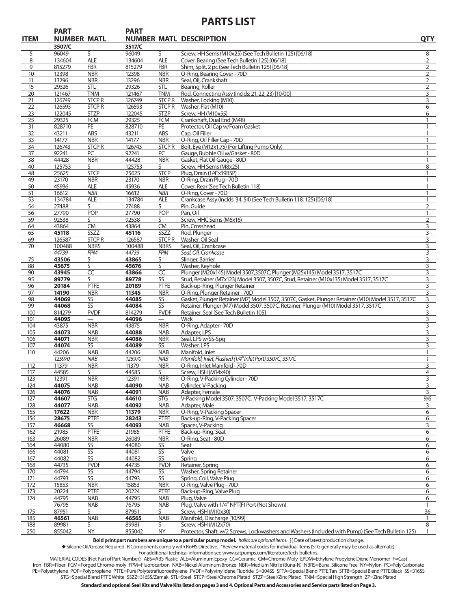## **PARTS LIST**

| <b>ITEM</b> | <b>PART</b>      | <b>NUMBER MATL</b>          | <b>PART</b>      |                             | <b>NUMBER MATL DESCRIPTION</b>                                                                     | <b>QTY</b>        |
|-------------|------------------|-----------------------------|------------------|-----------------------------|----------------------------------------------------------------------------------------------------|-------------------|
| 5           | 3507/C<br>96049  | S                           | 3517/C<br>96049  | S                           | Screw, HH Sems (M10x25) (See Tech Bulletin 125) [06/18]                                            | 8                 |
| 8           | 134604           | <b>ALE</b>                  | 134604           | <b>ALE</b>                  | Cover, Bearing (See Tech Bulletin 125) [06/18]                                                     | $\overline{2}$    |
| 9           | 815279           | <b>FBR</b>                  | 815279           | <b>FBR</b>                  | Shim, Split, 2 pc (See Tech Bulletin 125) [06/18]                                                  | 2                 |
| 10          | 12398            | <b>NBR</b>                  | 12398            | <b>NBR</b>                  | O-Ring, Bearing Cover - 70D                                                                        | $\overline{2}$    |
| 11          | 13296            | <b>NBR</b>                  | 13296            | <b>NBR</b>                  | Seal, Oil, Crankshaft                                                                              | $\overline{2}$    |
| 15          | 29326            | <b>STL</b>                  | 29326            | <b>STL</b>                  | Bearing, Roller                                                                                    | 2                 |
| 20          | 121467           | <b>TNM</b>                  | 121467           | <b>TNM</b>                  | Rod, Connecting Assy (Inclds: 21, 22, 23) [10/00]                                                  | 3                 |
| 21          | 126749           | <b>STCPR</b>                | 126749           | <b>STCPR</b>                | Washer, Locking (M10)                                                                              | 3                 |
| 22<br>23    | 126593<br>122045 | <b>STCPR</b><br><b>STZP</b> | 126593<br>122045 | <b>STCPR</b><br><b>STZP</b> | Washer, Flat (M10)<br>Screw, HH (M10x55)                                                           | 6<br>6            |
| 25          | 29325            | <b>FCM</b>                  | 29325            | <b>FCM</b>                  | Crankshaft, Dual End (M48)                                                                         | $\mathbf{1}$      |
| 31          | 828710           | PE                          | 828710           | PE                          | Protector, Oil Cap w/Foam Gasket                                                                   | $\mathbf{1}$      |
| 32          | 43211            | ABS                         | 43211            | ABS                         | Cap, Oil Filler                                                                                    | $\mathbf{1}$      |
| 33          | 14177            | <b>NBR</b>                  | 14177            | <b>NBR</b>                  | O-Ring, Oil Filler Cap - 70D                                                                       | $\mathbf{1}$      |
| 34          | 126743           | <b>STCPR</b>                | 126743           | <b>STCPR</b>                | Bolt, Eye (M12x1.75) (For Lifting Pump Only)                                                       | 1                 |
| 37          | 92241            | PC                          | 92241            | PC                          | Gauge, Bubble Oil w/Gasket - 80D                                                                   | $\mathbf{1}$      |
| 38          | 44428            | <b>NBR</b>                  | 44428            | <b>NBR</b>                  | Gasket, Flat Oil Gauge - 80D                                                                       | $\mathbf{1}$      |
| 40<br>48    | 125753<br>25625  | S<br><b>STCP</b>            | 125753<br>25625  | S<br><b>STCP</b>            | Screw, HH Sems (M8x25)<br>Plug, Drain (1/4"x19BSP)                                                 | 8<br>$\mathbf{1}$ |
| 49          | 23170            | <b>NBR</b>                  | 23170            | <b>NBR</b>                  | O-Ring, Drain Plug - 70D                                                                           | 1                 |
| 50          | 45936            | <b>ALE</b>                  | 45936            | <b>ALE</b>                  | Cover, Rear (See Tech Bulletin 118)                                                                | $\mathbf{1}$      |
| 51          | 16612            | <b>NBR</b>                  | 16612            | <b>NBR</b>                  | O-Ring, Cover - 70D                                                                                | 1                 |
| 53          | 134784           | <b>ALE</b>                  | 134784           | <b>ALE</b>                  | Crankcase Assy (Inclds: 34, 54) (See Tech Bulletin 118, 125) [06/18]                               | 1                 |
| 54          | 27488            | S.                          | 27488            | S.                          | Pin, Guide                                                                                         | $\overline{2}$    |
| 56          | 27790            | <b>POP</b>                  | 27790            | <b>POP</b>                  | Pan, Oil                                                                                           | 1                 |
| 59          | 92538            | S                           | 92538            | S.                          | Screw, HHC Sems (M6x16)                                                                            | $\overline{2}$    |
| 64<br>65    | 43864<br>45118   | <b>CM</b><br>SSZZ           | 43864<br>45116   | <b>CM</b><br>SSZZ           | Pin, Crosshead<br>Rod, Plunger                                                                     | 3<br>3            |
| 69          | 126587           | <b>STCPR</b>                | 126587           | <b>STCPR</b>                | Washer, Oil Seal                                                                                   | 3                 |
| 70          | 100488           | <b>NBRS</b>                 | 100488           | <b>NBRS</b>                 | Seal, Oil, Crankcase                                                                               | 3                 |
|             | 44739            | <b>FPM</b>                  | 44739            | <b>FPM</b>                  | Seal, Oil, Crankcase                                                                               | 3                 |
| 75          | 43506            | S                           | 43865            | S                           | Slinger, Barrier                                                                                   | 3                 |
| 88          | 45675            | S                           | 45676            | S                           | Washer, Keyhole                                                                                    | 3                 |
| 90          | 43945            | CC                          | 43866            | CC                          | Plunger (M20x145) Model 3507,3507C, Plunger (M25x145) Model 3517, 3517C                            | 3                 |
| 95          | 89779            | S                           | 89778            | SS                          | Stud, Retainer (M7x123) Model 3507, 3507C, Stud, Retainer (M10x135) Model 3517, 3517C              | 3                 |
| 96<br>97    | 20184<br>14190   | PTFE<br><b>NBR</b>          | 20189<br>11345   | <b>PTFE</b><br><b>NBR</b>   | Back-up-Ring, Plunger Retainer<br>O-Ring, Plunger Retainer - 70D                                   | 3<br>3            |
| 98          | 44069            | SS                          | 44085            | SS                          | Gasket, Plunger Retainer (M7) Model 3507, 3507C, Gasket, Plunger Retainer (M10) Model 3517, 3517C  | 3                 |
| 99          | 44068            | SS                          | 44084            | SS                          | Retainer, Plunger (M7) Model 3507, 3507C, Retainer, Plunger (M10) Model 3517, 3517C                | 3                 |
| 100         | 814279           | <b>PVDF</b>                 | 814279           | <b>PVDF</b>                 | Retainer, Seal [See Tech Bulletin 105]                                                             | 3                 |
| 101         | 44095            | $\qquad \qquad$             | 44096            |                             | Wick                                                                                               | 3                 |
| 104         | 43875            | <b>NBR</b>                  | 43875            | <b>NBR</b>                  | O-Ring, Adapter - 70D                                                                              | 3                 |
| 105         | 44073            | <b>NAB</b>                  | 44088            | <b>NAB</b>                  | Adapter, LPS                                                                                       | 3                 |
| 106<br>107  | 44071<br>44074   | <b>NBR</b><br>SS            | 44086<br>44089   | <b>NBR</b><br>SS            | Seal, LPS w/SS-Spg<br>Washer, LPS                                                                  | 3<br>3            |
| 110         | 44206            | <b>NAB</b>                  | 44206            | <b>NAB</b>                  | Manifold, Inlet                                                                                    | $\mathbf{1}$      |
|             | 125970           | <b>NAB</b>                  | 125970           | <b>NAB</b>                  | Manifold, Inlet, Flushed (1/4" Inlet Port) 3507C, 3517C                                            | $\mathcal{I}$     |
| 112         | 11379            | <b>NBR</b>                  | 11379            | <b>NBR</b>                  | O-Ring, Inlet Manifold - 70D                                                                       | 3                 |
| 117         | 44585            | S.                          | 44585            | S.                          | Screw, HSH (M14x40)                                                                                | 4                 |
| 123         | 12391            | <b>NBR</b>                  | 12391            | <b>NBR</b>                  | O-Ring, V-Packing Cylinder - 70D                                                                   | 3                 |
| 124         | 44075            | NAB                         | 44090            | <b>NAB</b>                  | Cylinder, V-Packing                                                                                | 3                 |
| 126         | 44076            | NAB                         | 44091            | <b>NAB</b>                  | Adapter, Female<br>V-Packing Model 3507, 3507C, V-Packing Model 3517, 3517C                        | 3                 |
| 127<br>128  | 44607<br>44077   | STG<br><b>NAB</b>           | 44610<br>44092   | STG<br><b>NAB</b>           | Adapter, Male                                                                                      | 9/6<br>3          |
| 155         | 17622            | <b>NBR</b>                  | 11379            | <b>NBR</b>                  | O-Ring, V-Packing Spacer                                                                           | 6                 |
| 156         | 28675            | PTFE                        | 28243            | <b>PTFE</b>                 | Back-up-Ring, V-Packing Spacer                                                                     | 6                 |
| 157         | 46668            | SS                          | 44093            | <b>NAB</b>                  | Spacer, V-Packing                                                                                  | 3                 |
| 162         | 21985            | PTFE                        | 21985            | PTFE                        | Back-up-Ring, Seat                                                                                 | 6                 |
| 163         | 26089            | <b>NBR</b>                  | 26089            | <b>NBR</b>                  | O-Ring, Seat - 80D                                                                                 | 6                 |
| 164         | 44080            | SS                          | 44080            | SS                          | Seat                                                                                               | 6                 |
| 166         | 44081            | SS<br>SS                    | 44081            | SS<br>SS                    | Valve                                                                                              | 6                 |
| 167<br>168  | 44082<br>44735   | <b>PVDF</b>                 | 44082<br>44735   | <b>PVDF</b>                 | Spring<br>Retainer, Spring                                                                         | 6<br>6            |
| 170         | 44794            | SS                          | 44794            | SS                          | Washer, Spring Retainer                                                                            | 6                 |
| 171         | 44793            | SS                          | 44793            | SS                          | Spring, Coil, Valve Plug                                                                           | 6                 |
| 172         | 15853            | <b>NBR</b>                  | 15853            | <b>NBR</b>                  | O-Ring, Valve Plug - 70D                                                                           | 6                 |
| 173         | 20224            | PTFE                        | 20224            | <b>PTFE</b>                 | Back-up-Ring, Valve Plug                                                                           | 6                 |
| 174         | 44795            | <b>NAB</b>                  | 44795            | <b>NAB</b>                  | Plug, Valve                                                                                        | 6                 |
|             | 76795            | <b>NAB</b>                  | 76795            | <b>NAB</b>                  | Plug, Valve with 1/4" NPT(F) Port (Not Shown)                                                      | 1                 |
| 175         | 87951            | S                           | 87951            | S                           | Screw, HSH (M10x30)                                                                                | 36                |
| 185<br>188  | 46561<br>89981   | <b>NAB</b><br>S             | 46565<br>89981   | <b>NAB</b><br>S             | Manifold, Discharge [10/99]<br>Screw, HSH (M12x70)                                                 | $\mathbf{1}$<br>8 |
| 250         | 855042           | <b>NY</b>                   | 855042           | NY                          | Protector, Shaft, w/2 Screws, Lockwashers and Washers (Included with Pump) (See Tech Bulletin 125) | 1                 |
|             |                  |                             |                  |                             |                                                                                                    |                   |

**Bold print part numbers are unique to a particular pump model.** *Italics are optional items.* [ ] Date of latest production change.

u Silcone Oil/Grease Required R Components comply with RoHS Directive. \*Review material codes for individual items (STG generally may be used as alternate).

For additional technical information see www.catpumps.com/literature/tech-bulletins.

MATERIAL CODES (Not Part of Part Number): ABS=ABS Plastic ALE=Aluminum Epoxy CC=Ceramic CM=Chrome-Moly EPDM=Ethylene Propylene Diene Monomer F=Cast Iron FBR=Fiber FCM=Forged Chrome-moly FPM=Fluorocarbon NAB=Nickel Aluminum Bronze NBR=Medium Nitrile (Buna-N) NBRS=Buna, Silicone Free NY=Nylon PC=Poly Carbonate PE=Polyethylene POP=Polyproplene PTFE=Pure Polytetrafluoroethylene PVDF=Polyvinylidene Fluoride S=304SS SFTA=Special Blend PTFE Tan SFTB=Special Blend PTFE Black SS=316SS STG=Special Blend PTFE White SSZZ=316SS/Zamak STL=Steel STCP=Steel/Chrome Plated STZP=Steel/Zinc Plated TNM=Special High Strength ZP=Zinc Plated

**Standard and optional Seal Kits and Valve Kits listed on pages 3 and 4. Optional Parts and Accessories and Service parts listed on Page 3.**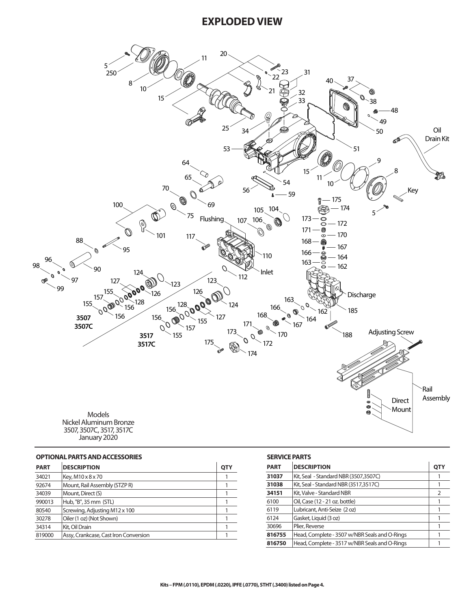## **EXPLODED VIEW**



January 2020

#### **OPTIONAL PARTS AND ACCESSORIES**

| <b>PART</b> | <b>DESCRIPTION</b>                    | <b>QTY</b> |
|-------------|---------------------------------------|------------|
| 34021       | Key, M10 x 8 x 70                     |            |
| 92674       | Mount, Rail Assembly (STZP R)         |            |
| 34039       | Mount, Direct (S)                     |            |
| 990013      | Hub, "B", 35 mm (STL)                 |            |
| 80540       | Screwing, Adjusting M12 x 100         |            |
| 30278       | Oiler (1 oz) (Not Shown)              |            |
| 34314       | Kit, Oil Drain                        |            |
| 819000      | Assy, Crankcase, Cast Iron Conversion |            |

### **SERVICE PARTS**

| <b>PART</b> | <b>DESCRIPTION</b>                            | <b>QTY</b> |
|-------------|-----------------------------------------------|------------|
| 31037       | Kit, Seal - Standard NBR (3507,3507C)         |            |
| 31038       | Kit, Seal - Standard NBR (3517,3517C)         |            |
| 34151       | Kit, Valve - Standard NBR                     | 2          |
| 6100        | Oil, Case (12 - 21 oz. bottle)                |            |
| 6119        | Lubricant, Anti-Seize (2 oz)                  |            |
| 6124        | Gasket, Liquid (3 oz)                         |            |
| 30696       | Plier, Reverse                                |            |
| 816755      | Head, Complete - 3507 w/NBR Seals and O-Rings |            |
| 816750      | Head, Complete - 3517 w/NBR Seals and O-Rings |            |